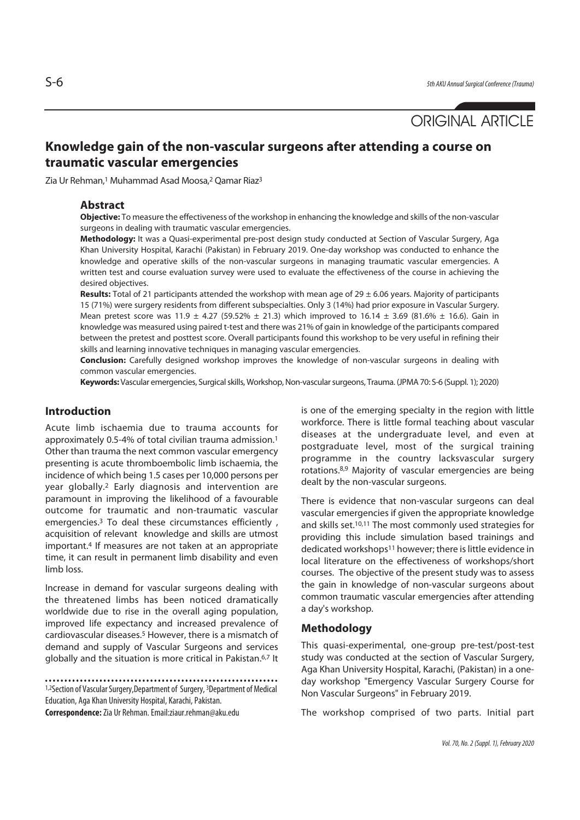# ORIGINAL ARTICLE

## **Knowledge gain of the non-vascular surgeons after attending a course on traumatic vascular emergencies**

Zia Ur Rehman,1 Muhammad Asad Moosa,2 Qamar Riaz3

#### **Abstract**

**Objective:** To measure the effectiveness of the workshop in enhancing the knowledge and skills of the non-vascular surgeons in dealing with traumatic vascular emergencies.

**Methodology:** It was a Quasi-experimental pre-post design study conducted at Section of Vascular Surgery, Aga Khan University Hospital, Karachi (Pakistan) in February 2019. One-day workshop was conducted to enhance the knowledge and operative skills of the non-vascular surgeons in managing traumatic vascular emergencies. A written test and course evaluation survey were used to evaluate the effectiveness of the course in achieving the desired objectives.

**Results:** Total of 21 participants attended the workshop with mean age of 29 ± 6.06 years. Majority of participants 15 (71%) were surgery residents from different subspecialties. Only 3 (14%) had prior exposure in Vascular Surgery. Mean pretest score was 11.9  $\pm$  4.27 (59.52%  $\pm$  21.3) which improved to 16.14  $\pm$  3.69 (81.6%  $\pm$  16.6). Gain in knowledge was measured using paired t-test and there was 21% of gain in knowledge of the participants compared between the pretest and posttest score. Overall participants found this workshop to be very useful in refining their skills and learning innovative techniques in managing vascular emergencies.

**Conclusion:** Carefully designed workshop improves the knowledge of non-vascular surgeons in dealing with common vascular emergencies.

**Keywords:** Vascular emergencies, Surgical skills, Workshop, Non-vascular surgeons, Trauma. (JPMA 70: S-6 (Suppl. 1); 2020)

## **Introduction**

Acute limb ischaemia due to trauma accounts for approximately 0.5-4% of total civilian trauma admission.1 Other than trauma the next common vascular emergency presenting is acute thromboembolic limb ischaemia, the incidence of which being 1.5 cases per 10,000 persons per year globally.2 Early diagnosis and intervention are paramount in improving the likelihood of a favourable outcome for traumatic and non-traumatic vascular emergencies.<sup>3</sup> To deal these circumstances efficiently, acquisition of relevant knowledge and skills are utmost important.4 If measures are not taken at an appropriate time, it can result in permanent limb disability and even limb loss.

Increase in demand for vascular surgeons dealing with the threatened limbs has been noticed dramatically worldwide due to rise in the overall aging population, improved life expectancy and increased prevalence of cardiovascular diseases.5 However, there is a mismatch of demand and supply of Vascular Surgeons and services globally and the situation is more critical in Pakistan.6,7 It

1,2Section of Vascular Surgery, Department of Surgery, <sup>3</sup>Department of Medical Education, Aga Khan University Hospital, Karachi, Pakistan.

**Correspondence:** Zia Ur Rehman. Email:ziaur.rehman@aku.edu

is one of the emerging specialty in the region with little workforce. There is little formal teaching about vascular diseases at the undergraduate level, and even at postgraduate level, most of the surgical training programme in the country lacksvascular surgery rotations.8,9 Majority of vascular emergencies are being dealt by the non-vascular surgeons.

There is evidence that non-vascular surgeons can deal vascular emergencies if given the appropriate knowledge and skills set.10,11 The most commonly used strategies for providing this include simulation based trainings and dedicated workshops<sup>11</sup> however; there is little evidence in local literature on the effectiveness of workshops/short courses. The objective of the present study was to assess the gain in knowledge of non-vascular surgeons about common traumatic vascular emergencies after attending a day's workshop.

#### **Methodology**

This quasi-experimental, one-group pre-test/post-test study was conducted at the section of Vascular Surgery, Aga Khan University Hospital, Karachi, (Pakistan) in a oneday workshop "Emergency Vascular Surgery Course for Non Vascular Surgeons" in February 2019.

The workshop comprised of two parts. Initial part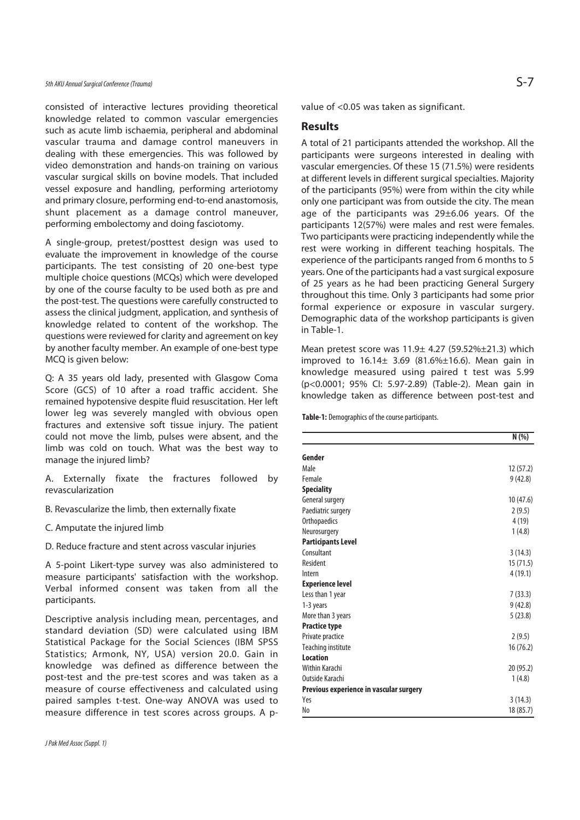consisted of interactive lectures providing theoretical knowledge related to common vascular emergencies such as acute limb ischaemia, peripheral and abdominal vascular trauma and damage control maneuvers in dealing with these emergencies. This was followed by video demonstration and hands-on training on various vascular surgical skills on bovine models. That included vessel exposure and handling, performing arteriotomy and primary closure, performing end-to-end anastomosis, shunt placement as a damage control maneuver, performing embolectomy and doing fasciotomy.

A single-group, pretest/posttest design was used to evaluate the improvement in knowledge of the course participants. The test consisting of 20 one-best type multiple choice questions (MCQs) which were developed by one of the course faculty to be used both as pre and the post-test. The questions were carefully constructed to assess the clinical judgment, application, and synthesis of knowledge related to content of the workshop. The questions were reviewed for clarity and agreement on key by another faculty member. An example of one-best type MCQ is given below:

Q: A 35 years old lady, presented with Glasgow Coma Score (GCS) of 10 after a road traffic accident. She remained hypotensive despite fluid resuscitation. Her left lower leg was severely mangled with obvious open fractures and extensive soft tissue injury. The patient could not move the limb, pulses were absent, and the limb was cold on touch. What was the best way to manage the injured limb?

A. Externally fixate the fractures followed by revascularization

B. Revascularize the limb, then externally fixate

- C. Amputate the injured limb
- D. Reduce fracture and stent across vascular injuries

A 5-point Likert-type survey was also administered to measure participants' satisfaction with the workshop. Verbal informed consent was taken from all the participants.

Descriptive analysis including mean, percentages, and standard deviation (SD) were calculated using IBM Statistical Package for the Social Sciences (IBM SPSS Statistics; Armonk, NY, USA) version 20.0. Gain in knowledge was defined as difference between the post-test and the pre-test scores and was taken as a measure of course effectiveness and calculated using paired samples t-test. One-way ANOVA was used to measure difference in test scores across groups. A pvalue of <0.05 was taken as significant.

#### **Results**

A total of 21 participants attended the workshop. All the participants were surgeons interested in dealing with vascular emergencies. Of these 15 (71.5%) were residents at different levels in different surgical specialties. Majority of the participants (95%) were from within the city while only one participant was from outside the city. The mean age of the participants was 29±6.06 years. Of the participants 12(57%) were males and rest were females. Two participants were practicing independently while the rest were working in different teaching hospitals. The experience of the participants ranged from 6 months to 5 years. One of the participants had a vast surgical exposure of 25 years as he had been practicing General Surgery throughout this time. Only 3 participants had some prior formal experience or exposure in vascular surgery. Demographic data of the workshop participants is given in Table-1.

Mean pretest score was 11.9± 4.27 (59.52%±21.3) which improved to  $16.14 \pm 3.69$  (81.6% $\pm 16.6$ ). Mean gain in knowledge measured using paired t test was 5.99 (p<0.0001; 95% CI: 5.97-2.89) (Table-2). Mean gain in knowledge taken as difference between post-test and

**Table-1:** Demographics of the course participants.

|                                         | N(% )     |
|-----------------------------------------|-----------|
| Gender                                  |           |
| Male                                    | 12(57.2)  |
| Female                                  | 9(42.8)   |
| <b>Speciality</b>                       |           |
| General surgery                         | 10(47.6)  |
| Paediatric surgery                      | 2(9.5)    |
| Orthopaedics                            | 4(19)     |
| Neurosurgery                            | 1(4.8)    |
| <b>Participants Level</b>               |           |
| Consultant                              | 3(14.3)   |
| Resident                                | 15(71.5)  |
| Intern                                  | 4(19.1)   |
| <b>Experience level</b>                 |           |
| Less than 1 year                        | 7(33.3)   |
| 1-3 years                               | 9(42.8)   |
| More than 3 years                       | 5(23.8)   |
| <b>Practice type</b>                    |           |
| Private practice                        | 2(9.5)    |
| Teaching institute                      | 16 (76.2) |
| <b>Location</b>                         |           |
| Within Karachi                          | 20 (95.2) |
| Outside Karachi                         | 1(4.8)    |
| Previous experience in vascular surgery |           |
| Yes                                     | 3(14.3)   |
| No                                      | 18 (85.7) |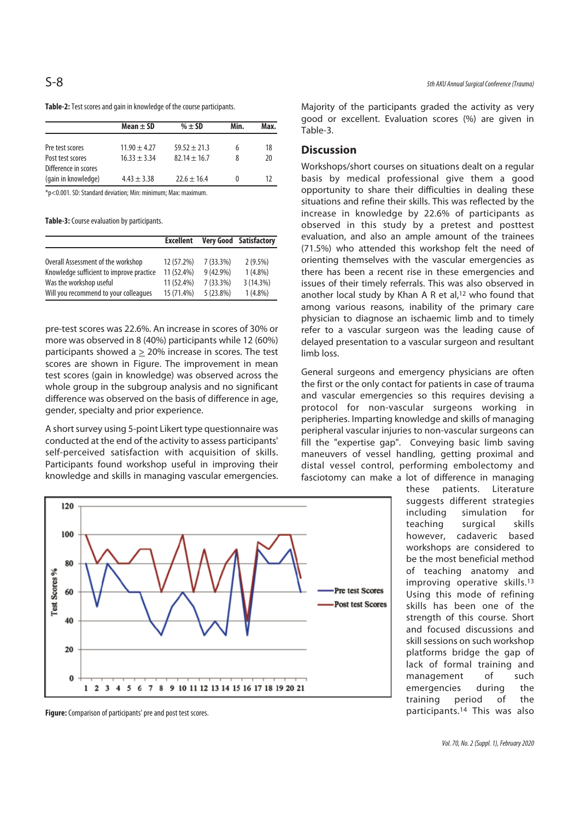| Table-2: Test scores and gain in knowledge of the course participants. |  |  |
|------------------------------------------------------------------------|--|--|
|------------------------------------------------------------------------|--|--|

|                      | Mean $\pm$ SD    | $% \pm SD$       | Min.     | Max. |  |
|----------------------|------------------|------------------|----------|------|--|
|                      |                  |                  |          |      |  |
| Pre test scores      | $11.90 \pm 4.27$ | $59.52 \pm 21.3$ | 6        | 18   |  |
| Post test scores     | $16.33 + 3.34$   | $82.14 + 16.7$   | 8        | 20   |  |
| Difference in scores |                  |                  |          |      |  |
| (gain in knowledge)  | $4.43 \pm 3.38$  | $72.6 + 16.4$    | $\Omega$ | 17   |  |

\*p<0.001. SD: Standard deviation; Min: minimum; Max: maximum.

**Table-3:** Course evaluation by participants.

|                                          | <b>Excellent</b> |             | <b>Very Good Satisfactory</b> |
|------------------------------------------|------------------|-------------|-------------------------------|
|                                          |                  |             |                               |
| Overall Assessment of the workshop       | 12 (57.2%)       | $7(33.3\%)$ | $2(9.5\%)$                    |
| Knowledge sufficient to improve practice | 11 (52.4%)       | $9(42.9\%)$ | $1(4.8\%)$                    |
| Was the workshop useful                  | 11(52.4%)        | $7(33.3\%)$ | 3(14.3%)                      |
| Will you recommend to your colleagues    | 15 (71.4%)       | $5(23.8\%)$ | $1(4.8\%)$                    |

pre-test scores was 22.6%. An increase in scores of 30% or more was observed in 8 (40%) participants while 12 (60%) participants showed a  $\geq$  20% increase in scores. The test scores are shown in Figure. The improvement in mean test scores (gain in knowledge) was observed across the whole group in the subgroup analysis and no significant difference was observed on the basis of difference in age, gender, specialty and prior experience.

A short survey using 5-point Likert type questionnaire was conducted at the end of the activity to assess participants' self-perceived satisfaction with acquisition of skills. Participants found workshop useful in improving their knowledge and skills in managing vascular emergencies.



Majority of the participants graded the activity as very good or excellent. Evaluation scores (%) are given in Table-3.

#### **Discussion**

Workshops/short courses on situations dealt on a regular basis by medical professional give them a good opportunity to share their difficulties in dealing these situations and refine their skills. This was reflected by the increase in knowledge by 22.6% of participants as observed in this study by a pretest and posttest evaluation, and also an ample amount of the trainees (71.5%) who attended this workshop felt the need of orienting themselves with the vascular emergencies as there has been a recent rise in these emergencies and issues of their timely referrals. This was also observed in another local study by Khan A R et al,12 who found that among various reasons, inability of the primary care physician to diagnose an ischaemic limb and to timely refer to a vascular surgeon was the leading cause of delayed presentation to a vascular surgeon and resultant limb loss.

General surgeons and emergency physicians are often the first or the only contact for patients in case of trauma and vascular emergencies so this requires devising a protocol for non-vascular surgeons working in peripheries. Imparting knowledge and skills of managing peripheral vascular injuries to non-vascular surgeons can fill the "expertise gap". Conveying basic limb saving maneuvers of vessel handling, getting proximal and distal vessel control, performing embolectomy and fasciotomy can make a lot of difference in managing

these patients. Literature suggests different strategies including simulation for teaching surgical skills however, cadaveric based workshops are considered to be the most beneficial method of teaching anatomy and improving operative skills.13 Using this mode of refining skills has been one of the strength of this course. Short and focused discussions and skill sessions on such workshop platforms bridge the gap of lack of formal training and management of such emergencies during the training period of the participants.14 This was also



**Figure:** Comparison of participants' pre and post test scores.